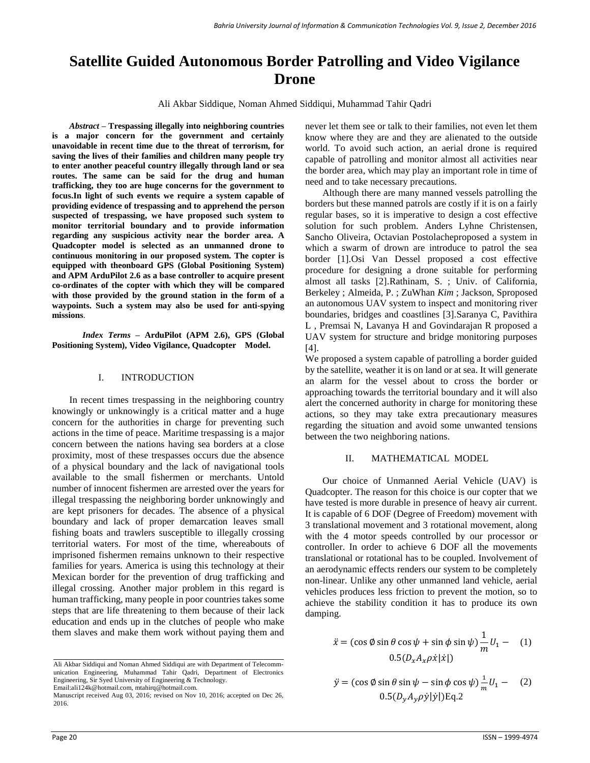# **Satellite Guided Autonomous Border Patrolling and Video Vigilance Drone**

Ali Akbar Siddique, Noman Ahmed Siddiqui, Muhammad Tahir Qadri

*Abstract –* **Trespassing illegally into neighboring countries is a major concern for the government and certainly unavoidable in recent time due to the threat of terrorism, for saving the lives of their families and children many people try to enter another peaceful country illegally through land or sea routes. The same can be said for the drug and human trafficking, they too are huge concerns for the government to focus.In light of such events we require a system capable of providing evidence of trespassing and to apprehend the person suspected of trespassing, we have proposed such system to monitor territorial boundary and to provide information regarding any suspicious activity near the border area. A Quadcopter model is selected as an unmanned drone to continuous monitoring in our proposed system. The copter is equipped with theonboard GPS (Global Positioning System) and APM ArduPilot 2.6 as a base controller to acquire present co-ordinates of the copter with which they will be compared with those provided by the ground station in the form of a waypoints. Such a system may also be used for anti-spying missions**.

*Index Terms –* **ArduPilot (APM 2.6), GPS (Global Positioning System), Video Vigilance, Quadcopter Model.**

### I. INTRODUCTION

In recent times trespassing in the neighboring country knowingly or unknowingly is a critical matter and a huge concern for the authorities in charge for preventing such actions in the time of peace. Maritime trespassing is a major concern between the nations having sea borders at a close proximity, most of these trespasses occurs due the absence of a physical boundary and the lack of navigational tools available to the small fishermen or merchants. Untold number of innocent fishermen are arrested over the years for illegal trespassing the neighboring border unknowingly and are kept prisoners for decades. The absence of a physical boundary and lack of proper demarcation leaves small fishing boats and trawlers susceptible to illegally crossing territorial waters. For most of the time, whereabouts of imprisoned fishermen remains unknown to their respective families for years. America is using this technology at their Mexican border for the prevention of drug trafficking and illegal crossing. Another major problem in this regard is human trafficking, many people in poor countries takes some steps that are life threatening to them because of their lack education and ends up in the clutches of people who make them slaves and make them work without paying them and

never let them see or talk to their families, not even let them know where they are and they are alienated to the outside world. To avoid such action, an aerial drone is required capable of patrolling and monitor almost all activities near the border area, which may play an important role in time of need and to take necessary precautions.

Although there are many manned vessels patrolling the borders but these manned patrols are costly if it is on a fairly regular bases, so it is imperative to design a cost effective solution for such problem. Anders Lyhne Christensen, Sancho Oliveira, Octavian Postolacheproposed a system in which a swarm of drown are introduce to patrol the sea border [1].Osi Van Dessel proposed a cost effective procedure for designing a drone suitable for performing almost all tasks [2][.Rathinam, S.](http://ieeexplore.ieee.org/search/searchresult.jsp?searchWithin=%22Authors%22:.QT.Rathinam,%20S..QT.&newsearch=true) ; Univ. of California, Berkeley ; [Almeida, P.](http://ieeexplore.ieee.org/search/searchresult.jsp?searchWithin=%22Authors%22:.QT.Almeida,%20P..QT.&newsearch=true) ; [ZuWhan](http://ieeexplore.ieee.org/search/searchresult.jsp?searchWithin=%22Authors%22:.QT.ZuWhan%20Kim.QT.&newsearch=true) *Kim* ; [Jackson, Sp](http://ieeexplore.ieee.org/search/searchresult.jsp?searchWithin=%22Authors%22:.QT.Jackson,%20S..QT.&newsearch=true)roposed an autonomous UAV system to inspect and monitoring river boundaries, bridges and coastlines [3].Saranya C, Pavithira L , Premsai N, Lavanya H and Govindarajan R proposed a UAV system for structure and bridge monitoring purposes  $[4]$ .

We proposed a system capable of patrolling a border guided by the satellite, weather it is on land or at sea. It will generate an alarm for the vessel about to cross the border or approaching towards the territorial boundary and it will also alert the concerned authority in charge for monitoring these actions, so they may take extra precautionary measures regarding the situation and avoid some unwanted tensions between the two neighboring nations.

# II. MATHEMATICAL MODEL

Our choice of Unmanned Aerial Vehicle (UAV) is Quadcopter. The reason for this choice is our copter that we have tested is more durable in presence of heavy air current. It is capable of 6 DOF (Degree of Freedom) movement with 3 translational movement and 3 rotational movement, along with the 4 motor speeds controlled by our processor or controller. In order to achieve 6 DOF all the movements translational or rotational has to be coupled. Involvement of an aerodynamic effects renders our system to be completely non-linear. Unlike any other unmanned land vehicle, aerial vehicles produces less friction to prevent the motion, so to achieve the stability condition it has to produce its own damping.

$$
\ddot{x} = (\cos \phi \sin \theta \cos \psi + \sin \phi \sin \psi) \frac{1}{m} U_1 - (1)
$$
  
0.5 $(D_x A_x \rho \dot{x} | \dot{x} |)$ 

$$
\ddot{y} = (\cos \phi \sin \theta \sin \psi - \sin \phi \cos \psi) \frac{1}{m} U_1 - (2)
$$
  
0.5 $(D_y A_y \rho \dot{y} | \dot{y})$ |Eq.2

Ali Akbar Siddiqui and Noman Ahmed Siddiqui are with Department of Telecommunication Engineering, Muhammad Tahir Qadri, Department of Electronics Engineering, Sir Syed University of Engineering & Technology. Email:ali124k@hotmail.com, mtahirq@hotmail.com.

Manuscript received Aug 03, 2016; revised on Nov 10, 2016; accepted on Dec 26, 2016.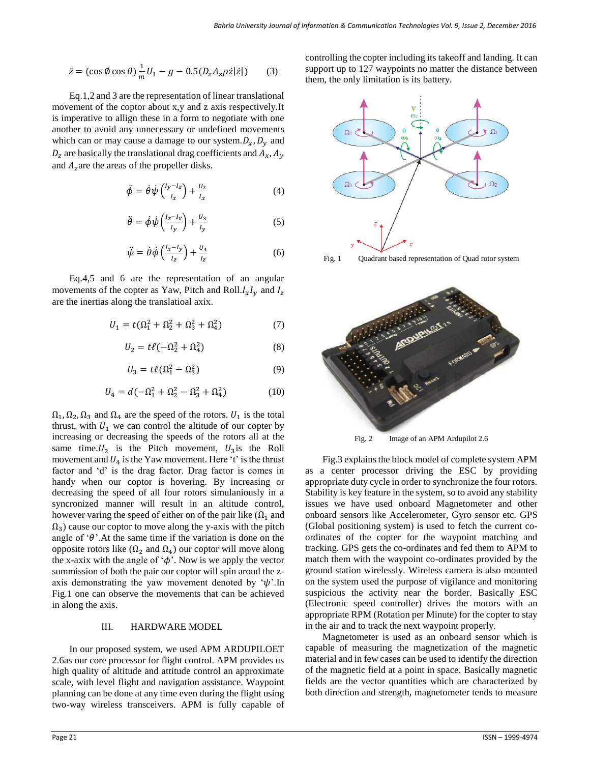$$
\ddot{z} = (\cos \phi \cos \theta) \frac{1}{m} U_1 - g - 0.5(D_z A_z \rho \dot{z} | \dot{z}) \tag{3}
$$

Eq.1,2 and 3 are the representation of linear translational movement of the coptor about x,y and z axis respectively.It is imperative to allign these in a form to negotiate with one another to avoid any unnecessary or undefined movements which can or may cause a damage to our system.  $D_x$ ,  $D_y$  and  $D_z$  are basically the translational drag coefficients and  $A_x$ ,  $A_y$ and  $A<sub>z</sub>$  are the areas of the propeller disks.

$$
\ddot{\phi} = \dot{\theta}\dot{\psi}\left(\frac{l_y - l_z}{l_x}\right) + \frac{U_2}{l_x} \tag{4}
$$

$$
\ddot{\theta} = \dot{\phi}\dot{\psi}\left(\frac{l_z - l_x}{l_y}\right) + \frac{U_3}{l_y} \tag{5}
$$

$$
\ddot{\psi} = \dot{\theta}\dot{\phi}\left(\frac{l_x - l_y}{l_z}\right) + \frac{U_4}{l_z} \tag{6}
$$

Eq.4,5 and 6 are the representation of an angular movements of the copter as Yaw, Pitch and Roll. $I_xI_y$  and  $I_z$ are the inertias along the translatioal axix.

$$
U_1 = t(\Omega_1^2 + \Omega_2^2 + \Omega_3^2 + \Omega_4^2) \tag{7}
$$

$$
U_2 = t\ell(-\Omega_2^2 + \Omega_4^2) \tag{8}
$$

$$
U_3 = t\ell(\Omega_1^2 - \Omega_3^2) \tag{9}
$$

$$
U_4 = d(-\Omega_1^2 + \Omega_2^2 - \Omega_3^2 + \Omega_4^2) \tag{10}
$$

 $\Omega_1, \Omega_2, \Omega_3$  and  $\Omega_4$  are the speed of the rotors.  $U_1$  is the total thrust, with  $U_1$  we can control the altitude of our copter by increasing or decreasing the speeds of the rotors all at the same time.  $U_2$  is the Pitch movement,  $U_3$  is the Roll movement and  $U_4$  is the Yaw movement. Here 't' is the thrust factor and 'd' is the drag factor. Drag factor is comes in handy when our coptor is hovering. By increasing or decreasing the speed of all four rotors simulaniously in a syncronized manner will result in an altitude control, however varing the speed of either on of the pair like  $(\Omega_1$  and  $\Omega_3$ ) cause our coptor to move along the y-axis with the pitch angle of  $\theta$ . At the same time if the variation is done on the opposite rotors like ( $Ω_2$  and  $Ω_4$ ) our coptor will move along the x-axix with the angle of  $\phi'$ . Now is we apply the vector summission of both the pair our coptor will spin aroud the zaxis demonstrating the yaw movement denoted by  $\psi'.\text{In}$ Fig.1 one can observe the movements that can be achieved in along the axis.

### III. HARDWARE MODEL

In our proposed system, we used APM ARDUPILOET 2.6as our core processor for flight control. APM provides us high quality of altitude and attitude control an approximate scale, with level flight and navigation assistance. Waypoint planning can be done at any time even during the flight using two-way wireless transceivers. APM is fully capable of

controlling the copter including its takeoff and landing. It can support up to 127 waypoints no matter the distance between them, the only limitation is its battery.



Fig. 1 Quadrant based representation of Quad rotor system



Fig. 2 Image of an APM Ardupilot 2.6

Fig.3 explains the block model of complete system APM as a center processor driving the ESC by providing appropriate duty cycle in order to synchronize the four rotors. Stability is key feature in the system, so to avoid any stability issues we have used onboard Magnetometer and other onboard sensors like Accelerometer, Gyro sensor etc. GPS (Global positioning system) is used to fetch the current coordinates of the copter for the waypoint matching and tracking. GPS gets the co-ordinates and fed them to APM to match them with the waypoint co-ordinates provided by the ground station wirelessly. Wireless camera is also mounted on the system used the purpose of vigilance and monitoring suspicious the activity near the border. Basically ESC (Electronic speed controller) drives the motors with an appropriate RPM (Rotation per Minute) for the copter to stay in the air and to track the next waypoint properly.

Magnetometer is used as an onboard sensor which is capable of measuring the magnetization of the magnetic material and in few cases can be used to identify the direction of the magnetic field at a point in space. Basically magnetic fields are the vector quantities which are characterized by both direction and strength, magnetometer tends to measure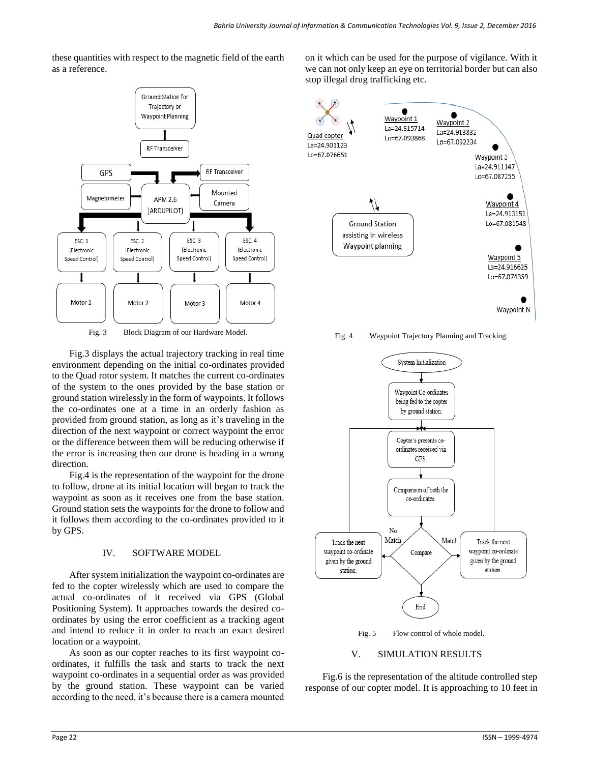these quantities with respect to the magnetic field of the earth as a reference.



Fig.3 displays the actual trajectory tracking in real time environment depending on the initial co-ordinates provided to the Quad rotor system. It matches the current co-ordinates of the system to the ones provided by the base station or ground station wirelessly in the form of waypoints. It follows the co-ordinates one at a time in an orderly fashion as provided from ground station, as long as it's traveling in the direction of the next waypoint or correct waypoint the error or the difference between them will be reducing otherwise if the error is increasing then our drone is heading in a wrong direction.

Fig.4 is the representation of the waypoint for the drone to follow, drone at its initial location will began to track the waypoint as soon as it receives one from the base station. Ground station sets the waypoints for the drone to follow and it follows them according to the co-ordinates provided to it by GPS.

# IV. SOFTWARE MODEL

After system initialization the waypoint co-ordinates are fed to the copter wirelessly which are used to compare the actual co-ordinates of it received via GPS (Global Positioning System). It approaches towards the desired coordinates by using the error coefficient as a tracking agent and intend to reduce it in order to reach an exact desired location or a waypoint.

As soon as our copter reaches to its first waypoint coordinates, it fulfills the task and starts to track the next waypoint co-ordinates in a sequential order as was provided by the ground station. These waypoint can be varied according to the need, it's because there is a camera mounted

on it which can be used for the purpose of vigilance. With it we can not only keep an eye on territorial border but can also stop illegal drug trafficking etc.



Fig. 4 Waypoint Trajectory Planning and Tracking.



# V. SIMULATION RESULTS

Fig.6 is the representation of the altitude controlled step response of our copter model. It is approaching to 10 feet in